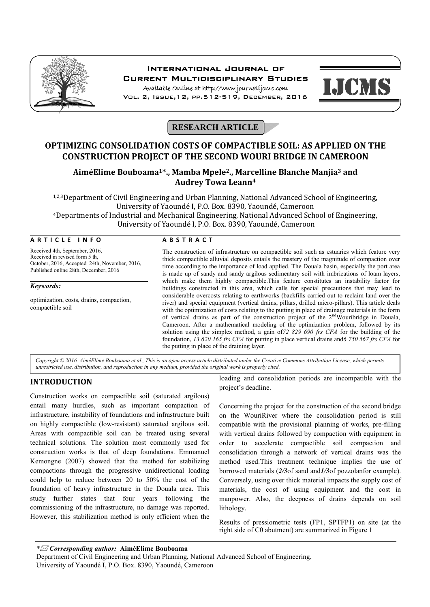

# International Journal of Current Multidisciplinary Studies

Available Online at http://www.journalijcms.com Vol. 2, Issue,12, pp.512-519, December, 2016



# **RESEARCH ARTICLE**

## **OPTIMIZING CONSOLIDATION COSTS OF COMPACTIBLE SOIL: AS APPLIED ON THE CONSTRUCTION PROJECT OF THE SECOND WOURI BRIDGE IN CAMEROON**

## **AiméElime Bouboama1\*., Mamba Mpele2., Marcelline Blanche Manjia3 and Audrey Towa Leann4**

1,2,3Department of Civil Engineering and Urban Planning, National Advanced School of Engineering, University of Yaoundé I, P.O. Box. 8390, Yaoundé, Cameroon 4Departments of Industrial and Mechanical Engineering, National Advanced School of Engineering, University of Yaoundé I, P.O. Box. 8390, Yaoundé, Cameroon

## **A R T I C L E I N F O A B S T R A C T**

Received 4th, September, 2016, Received in revised form 5 th, October, 2016, Accepted 24th, November, 2016, Published online 28th, December, 2016 The construction of infrastructure on compactible soil such as estuaries which feature very thick compactible alluvial deposits entails the mastery of the magnitude of compaction over time according to the importance of load applied. The Douala basin, especially the port area is made up of sandy and sandy argilous sedimentary soil with imbrications of loam layers, which make them highly compactible.This feature constitutes an instability factor for buildings constructed in this area, which calls for special precautions that may lead to considerable overcosts relating to earthworks (backfills carried out to reclaim land over the river) and special equipment (vertical drains, pillars, drilled micro-pillars). This article deals with the optimization of costs relating to the putting in place of drainage materials in the form of vertical drains as part of the construction project of the  $2<sup>nd</sup>$  Wouribridge in Douala, Cameroon. After a mathematical modeling of the optimization problem, followed by its solution using the simplex method, a gain of*72 829 690 frs CFA* for the building of the foundation, *13 620 165 frs CFA* for putting in place vertical drains and*6 750 567 frs CFA* for the putting in place of the draining layer. *Keywords:*  optimization, costs, drains, compaction, compactible soil

*Copyright © 2016 AiméElime Bouboama et al., This is an open access article distributed under the Creative Commons Attribution License, which permits unrestricted use, distribution, and reproduction in any medium, provided the original work is properly cited.*

## **INTRODUCTION**

Construction works on compactible soil (saturated argilous) entail many hurdles, such as important compaction of infrastructure, instability of foundations and infrastructure built on highly compactible (low-resistant) saturated argilous soil. Areas with compactible soil can be treated using several technical solutions. The solution most commonly used for construction works is that of deep foundations. Emmanuel Kemongne (2007) showed that the method for stabilizing compactions through the progressive unidirectional loading could help to reduce between 20 to 50% the cost of the foundation of heavy infrastructure in the Douala area. This study further states that four years following the commissioning of the infrastructure, no damage was reported. However, this stabilization method is only efficient when the

loading and consolidation periods are incompatible with the project's deadline.

Concerning the project for the construction of the second bridge on the WouriRiver where the consolidation period is still compatible with the provisional planning of works, pre-filling with vertical drains followed by compaction with equipment in order to accelerate compactible soil compaction and consolidation through a network of vertical drains was the method used.This treatment technique implies the use of borrowed materials (*2/3*of sand and*1/3*of pozzolanfor example). Conversely, using over thick material impacts the supply cost of materials, the cost of using equipment and the cost in manpower. Also, the deepness of drains depends on soil lithology.

Results of pressiometric tests (FP1, SPTFP1) on site (at the right side of C0 abutment) are summarized in Figure 1

*\* Corresponding author:* **AiméElime Bouboama**

Department of Civil Engineering and Urban Planning, National Advanced School of Engineering, University of Yaoundé I, P.O. Box. 8390, Yaoundé, Cameroon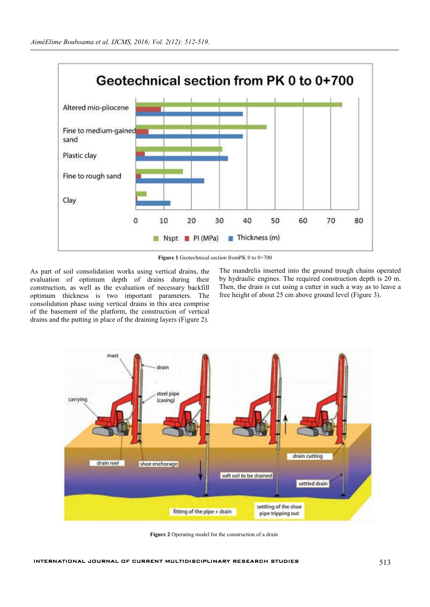

**Figure 1** Geotechnical section fromPK 0 to 0+700

As part of soil consolidation works using vertical drains, the evaluation of optimum depth of drains during their construction, as well as the evaluation of necessary backfill optimum thickness is two important parameters. The consolidation phase using vertical drains in this area comprise of the basement of the platform, the construction of vertical drains and the putting in place of the draining layers (Figure 2).

The mandrelis inserted into the ground trough chains operated by hydraulic engines. The required construction depth is 20 m. Then, the drain is cut using a cutter in such a way as to leave a free height of about 25 cm above ground level (Figure 3).



**Figure 2** Operating model for the construction of a drain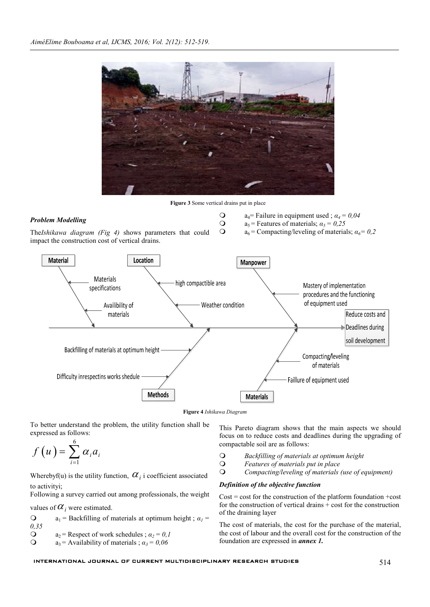

**Figure 4** *Ishikawa Diagram*

To better understand the problem, the utility function shall be expressed as follows:

$$
f\left(u\right) = \sum_{i=1}^{6} \alpha_{i} a_{i}
$$

Wherebyf(u) is the utility function,  $\alpha_i$  i coefficient associated to activityi;

Following a survey carried out among professionals, the weight

values of  $\alpha_i$  were estimated.

**Q**  $a_1$  = Backfilling of materials at optimum height ;  $a_1$  = *0,35* **a**<sub>2</sub> = Respect of work schedules ;  $a_2 = 0.1$ <br> **a**<sub>2</sub> = Availability of materials :  $a_2 = 0.06$  $a_3$  = Availability of materials ;  $\alpha_3$  = 0,06

This Pareto diagram shows that the main aspects we should focus on to reduce costs and deadlines during the upgrading of compactable soil are as follows:

- *Backfilling of materials at optimum height*
- *Features of materials put in place*
- *Compacting/leveling of materials (use of equipment)*

### *Definition of the objective function*

 $Cost = cost$  for the construction of the platform foundation +cost for the construction of vertical drains  $\overline{+}$  cost for the construction of the draining layer

The cost of materials, the cost for the purchase of the material, the cost of labour and the overall cost for the construction of the foundation are expressed in *annex 1.*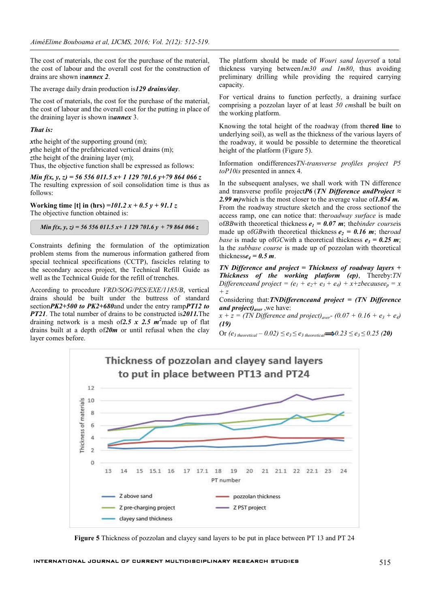The cost of materials, the cost for the purchase of the material, the cost of labour and the overall cost for the construction of drains are shown in*annex 2*.

The average daily drain production is*129 drains/day*.

The cost of materials, the cost for the purchase of the material, the cost of labour and the overall cost for the putting in place of the draining layer is shown in*annex* 3.

#### *That is:*

*x*the height of the supporting ground (m); *y*the height of the prefabricated vertical drains (m); zthe height of the draining layer (m); Thus, the objective function shall be expressed as follows:

*Min f(x, y, z) = 56 556 011.5 x+ 1 129 701.6 y+79 864 066 z* The resulting expression of soil consolidation time is thus as follows:

**Working time [t] in (hrs)** *=101.2 x + 0.5 y + 91.1 z* The objective function obtained is:

*Min f(x, y, z) = 56 556 011.5 x+ 1 129 701.6 y + 79 864 066 z*

Constraints defining the formulation of the optimization problem stems from the numerous information gathered from special technical specifications (CCTP), fascicles relating to the secondary access project, the Technical Refill Guide as well as the Technical Guide for the refill of trenches.

According to procedure *VRD/SOG/PES/EXE/1185/B*, vertical drains should be built under the buttress of standard section*PK2+500 to PK2+680*and under the entry ramp*PT12 to PT21*. The total number of drains to be constructed is*2011.*The draining network is a mesh of*2.5 x 2.5 m<sup>2</sup>* made up of flat drains built at a depth of*20m* or until refusal when the clay layer comes before.

The platform should be made of *Wouri sand layers*of a total thickness varying between*1m30 and 1m80*, thus avoiding preliminary drilling while providing the required carrying capacity.

For vertical drains to function perfectly, a draining surface comprising a pozzolan layer of at least *50 cm*shall be built on the working platform.

Knowing the total height of the roadway (from the**red line** to underlying soil), as well as the thickness of the various layers of the roadway, it would be possible to determine the theoretical height of the platform (Figure 5).

Information ondifferences*TN-transverse profiles project P5 toP10is* presented in annex 4.

In the subsequent analyses, we shall work with TN difference and transverse profile project*P6* (*TN Difference andProject ≈ 2.99 m)*which is the most closer to the average value of*1.854 m.* From the roadway structure sketch and the cross sectionof the access ramp, one can notice that: the*roadway surface* is made of*BB*with theoretical thickness  $e_1 = 0.07$  m; the *binder course* is made up of*GB*with theoretical thickness  $e_2 = 0.16$  m; theroad *base* is made up of*GC*with a theoretical thickness  $e_3 = 0.25$  m; la the *subbase course* is made up of pozzolan with theoretical thickness $e_4 = 0.5$  m.

*TN Difference and project = Thickness of roadway layers + Thickness of the working platform (ep)*, Thereby:*TN Differenceand project* =  $(e_1 + e_2 + e_3 + e_4) + x + z$ *becausee<sub>p</sub>* = x *+ z*

Considering that:*TNDifferenceand project = (TN Difference and project)aver* ,we have:

 $x + z = (TN \text{ Difference and project})_{\text{aver}} (0.07 + 0.16 + e_3 + e_4)$ *(19)*

Or  $(e_3$  theoretical  $-0.02) \le e_3 \le e_3$  theoretical  $\implies 0.23 \le e_3 \le 0.25$  (20)



**Figure 5** Thickness of pozzolan and clayey sand layers to be put in place between PT 13 and PT 24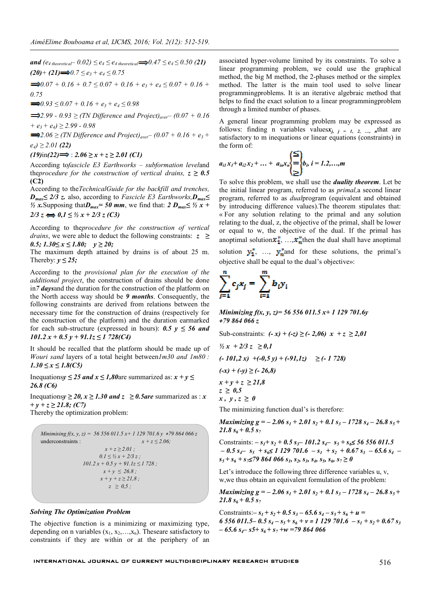*and*  $(e_{4 \text{ theoretical}} - 0.02) \le e_4 \le e_{4 \text{ theoretical}} \implies 0.47 \le e_4 \le 0.50$  (21)  $(20)$ <sup>+</sup>  $(21)$   $\implies$  0.7 ≤ e<sub>3</sub> + e<sub>4</sub> ≤ 0.75

 $\Rightarrow 0.07 + 0.16 + 0.7 \leq 0.07 + 0.16 + e_3 + e_4 \leq 0.07 + 0.16 +$ *0.75* 

 $\Rightarrow 0.93 \le 0.07 + 0.16 + e_3 + e_4 \le 0.98$ 

 $\implies$  *2.99 -* 0.93 ≥ *(TN Difference and Project)*<sub>aver</sub> – (0.07 + 0.16 *+ e3 + e4) ≥ 2.99 - 0.98*

 $\implies$  2.06 ≥ (TN Difference and Project)<sub>aver</sub> – (0.07 + 0.16 + e<sub>3</sub> + *e4) ≥ 2.01 (22)*

#### $(19)$ in(22)  $\implies$  *: 2.06* ≥ *x* + *z* ≥ 2.01 (C1)

According to*fascicle E3 Earthworks – subformation level*and the*procedure for the construction of vertical drains,*  $z \geq 0.5$ **(C2)**

According to the*TechnicalGuide for the backfill and trenches, D<sub>max</sub>≤ 2/3 z.* also, according to *Fascicle E3 Earthworks*,*D<sub>max</sub>≤ ½ x*. Supposing that $D_{max}$  = 50 mm, we find that: 2  $D_{max}$ ≤ ½ *x* +  $2/3 z \Leftrightarrow 0.1 \leq \frac{1}{2} x + \frac{2}{3} z (C3)$ 

According to the*procedure for the construction of vertical drains*, we were able to deduct the following constraints: *z ≥ 0.5; 1.30≤ x ≤ 1.80; y ≥ 20;*

The maximum depth attained by drains is of about 25 m. Thereby:  $v \leq 25$ ;

According to the *provisional plan for the execution of the additional project*, the construction of drains should be done in*7 days*and the duration for the construction of the platform on the North access way should be *9 months*. Consequently, the following constraints are derived from relations between the necessary time for the construction of drains (respectively for the construction of the platform) and the duration earmarked for each sub-structure (expressed in hours):  $0.5 y \le 56$  and *101.2 x + 0.5 y + 91.1z ≤ 1 728(C4)*

It should be recalled that the platform should be made up of *Wouri sand* layers of a total height between*1m30 and 1m80 : 1.30 ≤ x ≤ 1.8(C5)*

Inequations $y \le 25$  *and*  $x \le 1,80$  are summarized as:  $x + y \le 1$ *26.8 (C6)*

Inequations $y \ge 20$ ,  $x \ge 1.30$  and  $z \ge 0.5$  are summarized as : *x + y + z ≥ 21.8; (C7)* Thereby the optimization problem:

Minimising 
$$
f(x, y, z) = 56\,556\,011.5\,x + 1\,129\,701.6\,y + 79\,864\,066\,z
$$
  
\nunderconstraints :  
\n $x + z \le 2.01$ ;  
\n $0.1 \le \frac{1}{2}x + 2/3\,z$ ;  
\n $101.2\,x + 0.5\,y + 91.1z \le 1\,728$ ;  
\n $x + y \le 26.8$ ;  
\n $x + y + z \ge 21.8$ ;  
\n $z \ge 0.5$ ;

#### *Solving The Optimization Problem*

The objective function is a minimizing or maximizing type, depending on n variables  $(x_1, x_2, \ldots, x_n)$ . Theseare satisfactory to constraints if they are within or at the periphery of an associated hyper-volume limited by its constraints. To solve a linear programming problem, we could use the graphical method, the big M method, the 2-phases method or the simplex method. The latter is the main tool used to solve linear programmingproblems. It is an iterative algebraic method that helps to find the exact solution to a linear programmingproblem through a limited number of phases.

A general linear programming problem may be expressed as follows: finding n variables values $x_{j}$ ,  $j = 1, 2, ..., n$  that are satisfactory to m inequations or linear equations (constraints) in the form of:

$$
a_{i1}x_1 + a_{i2}x_2 + \ldots + a_{in}x_n = b_i, i = 1, 2, \ldots, m
$$

To solve this problem, we shall use the *duality theorem*. Let be the initial linear program, referred to as *primal,*a second linear program, referred to as *dual*program (equivalent and obtained by introducing difference values).The theorem stipulates that: « For any solution relating to the primal and any solution relating to the dual, z, the objective of the primal, shall be lower or equal to w, the objective of the dual. If the primal has anoptimal solution $x_1^*, \ldots, x_n^*$  then the dual shall have anoptimal solution  $y_1^*$ , …,  $y_m^*$  and for these solutions, the primal's

objective shall be equal to the dual's objective»:

$$
\sum_{j=1}^n c_j x_j = \sum_{i=1}^m b_i y_i
$$

*Minimizing f(x, y, z)= 56 556 011.5 x+ 1 129 701.6y +79 864 066 z*

Sub-constraints:  $(-x) + (-z) \ge (-2,06)$  *x* + *z* ≥ 2,01 *<sup>1</sup>/<sub>2</sub> x + 2/3 z* ≥ 0,1  $(-101,2 x)$   $+(-0,5 y) + (-91,1 z) \ge (-1728)$ *(-x) + (-y) ≥ (- 26,8)*  $x + y + z \ge 21,8$ *z ≥ 0,5*  $x, y, z \geq 0$ The minimizing function dual's is therefore:

*Maximizing g* =  $-$  2.06  $s_1$  + 2.01  $s_2$  + 0.1  $s_3$  – 1728  $s_4$  – 26.8  $s_5$  + 21.8  $s_6$  + 0.5  $s_7$ 

Constraints:  $-s_1 + s_2 + 0.5 s_1 - 101.2 s_4 - s_5 + s_6 \le 5656011.5$  $-0.5 s_{4} - s_{5} + s_{6} \le 1129701.6 - s_{1} + s_{2} + 0.67 s_{3} - 65.6 s_{4}$  $s_5 + s_6 + s_7 \le 79864066 s_1, s_2, s_3, s_4, s_5, s_6, s_7 \ge 0$ 

Let's introduce the following three difference variables u, v, w,we thus obtain an equivalent formulation of the problem:

*Maximizing g* =  $-$  2.06  $s_1$  + 2.01  $s_2$  + 0.1  $s_3$  – 1728  $s_4$  – 26.8  $s_5$  + 21.8  $s_6 + 0.5 s_7$ 

Constraints: $-s_1 + s_2 + 0.5 s_3 - 65.6 s_4 - s_5 + s_6 + u =$  $6556011.5 - 0.5 s<sub>4</sub> - s<sub>5</sub> + s<sub>6</sub> + v = 1129701.6 - s<sub>1</sub> + s<sub>2</sub> + 0.67 s<sub>3</sub>$ *– 65.6 s4– s5+ s6 + s7 +w =79 864 066*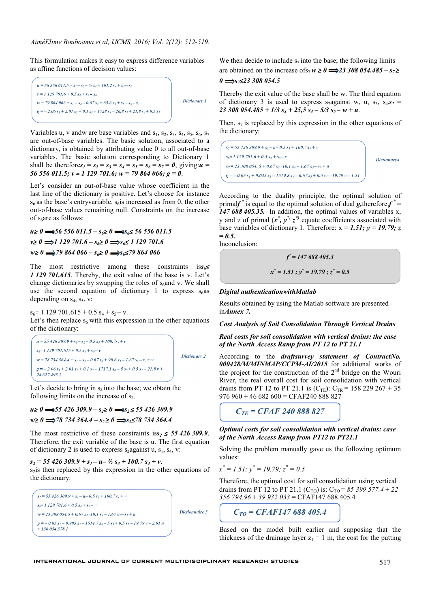This formulation makes it easy to express difference variables as affine functions of decision values:



Variables u, v andw are base variables and  $s_1$ ,  $s_2$ ,  $s_3$ ,  $s_4$ ,  $s_5$ ,  $s_6$ ,  $s_7$ are out-of-base variables. The basic solution, associated to a dictionary, is obtained by attributing value 0 to all out-of-base variables. The basic solution corresponding to Dictionary 1 shall be therefores<sub>1</sub> =  $s_2 = s_3 = s_4 = s_5 = s_6 = s_7 = 0$ , giving: $u =$ *56 556 011.5; v = 1 129 701.6; w = 79 864 066; g = 0*.

Let's consider an out-of-base value whose coefficient in the last line of the dictionary is positive. Let's choose for instance  $s<sub>6</sub>$  as the base's entryvariable.  $s<sub>6</sub>$  is increased as from 0, the other out-of-base values remaining null. Constraints on the increase of s<sub>6</sub>are as follows:

*u≥ 0 56 556 011.5 – s6≥ 0 s6≤ 56 556 011.5 v≥*  $\theta$   $\Longrightarrow$  *1 129 701.6* – *s<sub>6</sub>≥*  $\theta$   $\Longrightarrow$  *s<sub>6</sub>≤ 1 129 701.6 w≥ 0 79 864 066 – s6≥ 0 s6≤79 864 066*

The most restrictive among these constraints is*s6≤ 1 129 701.615*. Thereby, the exit value of the base is v. Let's change dictionaries by swapping the roles of  $s_6$  and v. We shall use the second equation of dictionary 1 to express  $s_6$ as depending on  $s_4$ ,  $s_5$ , v:

 $s_6$ = 1 129 701.615 + 0.5  $s_4$  +  $s_5$  – v. Let's then replace  $s_6$  with this expression in the other equations of the dictionary:

 $u = 55426309.9 + s_1 - s_2 - 0.5 s_3 + 100.7 s_4 + v$  $s_6$ = 1 129 701.615 + 0.5  $s_4$  +  $s_5$  - v Dictionary 2  $w = 78734364.4 + s_1 - s_2 - 0.67s_3 + 90.6 s_4 - 1.67s_5 - s_7 + v$  $g = -2.06 s_1 + 2.01 s_2 + 0.1 s_3 - 1717.1 s_4 - 5 s_5 + 0.5 s_7 - 21.8 v +$ 24 627 495.2

Let's decide to bring in  $s_2$  into the base; we obtain the following limits on the increase of  $s<sub>2</sub>$ 

*u≥* 0  $\implies$  55 426 309.9 – s<sub>2</sub>≥ 0  $\implies$  s<sub>2</sub> ≤ 55 426 309.9 *w≥* 0  $\implies$  78 734 364.4 – *s<sub>2</sub>* ≥ 0  $\implies$  *s<sub>2</sub>* ≤ 78 734 364.4

The most restrictive of these constraints is $s_2 \leq 55426309.9$ . Therefore, the exit variable of the base is u. The first equation of dictionary 2 is used to express s<sub>2</sub>against u,  $s_1$ ,  $s_4$ , v:

 $s_2 = 55426309.9 + s_1 - u - \frac{1}{2} s_3 + 100.7 s_4 + v$ . s<sub>2</sub>is then replaced by this expression in the other equations of the dictionary:



We then decide to include  $s_7$  into the base; the following limits are obtained on the increase of  $s_7 \cdot w \ge 0$   $\Longrightarrow$  23 308 054.485 –  $s_7 \ge$ 

#### *0 s7≤23 308 054.5*

Thereby the exit value of the base shall be w. The third equation of dictionary 3 is used to express s<sub>7</sub>against w, u, s<sub>3</sub>, s<sub>4:</sub> $s_7$  =  $23\,308\,054.485 + 1/3\,s_3 + 25.5\,s_4 - 5/3\,s_5 - w + u$ .

Then,  $s<sub>7</sub>$  is replaced by this expression in the other equations of the dictionary:

 $s_2 = 55426309.9 + s_1 - u - 0.5 s_3 + 100.7 s_4 + v$  $s_0 = 1, 129, 701, 6 + 0, 5, s_1 + s_2 = v$ Dictionary4  $s_7$  = 23 308 054. 5 + 0.67  $s_3$ -10.1  $s_4$  – 1.67  $s_5$ - w + u  $g = -0.05 s<sub>1</sub> + 0.045 s<sub>3</sub> - 1519.8 s<sub>4</sub> - 6.67 s<sub>5</sub> + 0.5 w - 19.79 v - 1.51$ 

According to the duality principle, the optimal solution of primal $f^*$  is equal to the optimal solution of dual **g**, therefore,  $f^* = f^*$ *147 688 405.35.* In addition, the optimal values of variables x, y and z of primal  $(x^*, y^*, z^*)$  equate coefficients associated with base variables of dictionary 1. Therefore:  $x = 1.51$ ;  $y = 19.79$ ; z  $= 0.5.$ 

Inconclusion:

$$
f^* = 147\ 688\ 405.3
$$

$$
x^* = 1.51
$$
;  $y^* = 19.79$ ;  $z^* = 0.5$ 

#### *Digital authenticationwithMatlab*

Results obtained by using the Matlab software are presented in*Annex 7.*

*Cost Analysis of Soil Consolidation Through Vertical Drains*

*Real costs for soil consolidation with vertical drains: the case of the North Access Ramp from PT 12 to PT 21.1*

According to the *draftsurvey statement of ContractNo. 000428/M/MINMAP/CCPM-AI/2015* for additional works of the project for the construction of the  $2<sup>nd</sup>$  bridge on the Wouri River, the real overall cost for soil consolidation with vertical drains from PT 12 to PT 21.1 is  $(C_{TE})$ :  $C_{TR}$  = 158 229 267 + 35  $976$   $960 + 46$   $682$   $600$  = CFAF240 888 827

*CTE = CFAF 240 888 827* 

### *Optimal costs for soil consolidation with vertical drains: case of the North Access Ramp from PT12 to PT21.1*

Solving the problem manually gave us the following optimum values:

$$
x^* = 1.51; y^* = 19.79; z^* = 0.5
$$

Therefore, the optimal cost for soil consolidation using vertical drains from PT 12 to PT 21.1 (C<sub>TO</sub>) is: C<sub>TO</sub> = 85 399 577.4 + 22 *356 794.96* + *39 932 033* = CFAF147 688 405.4

$$
C_{TO}=CFAF147~688~405.4
$$

Based on the model built earlier and supposing that the thickness of the drainage layer  $z_1 = 1$  m, the cost for the putting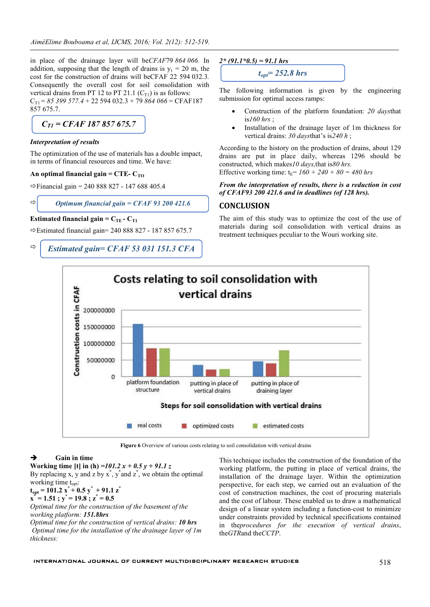in place of the drainage layer will be*CFAF*79 *864 066.* In addition, supposing that the length of drains is  $y_1 = 20$  m, the cost for the construction of drains will beCFAF 22 594 032.3*.*  Consequently the overall cost for soil consolidation with vertical drains from PT 12 to PT 21.1  $(C_{T1})$  is as follows: CT1 = *85 399 577.4* + 22 594 032.3 + 79 *864 066* = CFAF187 857 675.7.

$$
C_{TI} = CFAF\,187\,857\,675.7
$$

## *Interpretation of results*

 $\Rightarrow$ 

The optimization of the use of materials has a double impact, in terms of financial resources and time. We have:

### An optimal financial gain  $= CTE - C_{TO}$

 $\Rightarrow$  Financial gain = 240 888 827 - 147 688 405.4

*Optimum financial gain = CFAF 93 200 421.6* 

## **Estimated financial gain =**  $C_{\text{TE}}$  **-**  $C_{\text{TL}}$

 $\Rightarrow$  Estimated financial gain= 240 888 827 - 187 857 675.7

 $\Rightarrow$ *Estimated gain= CFAF 53 031 151.3 CFA* 



The following information is given by the engineering submission for optimal access ramps:

- Construction of the platform foundation: *20 days*that is*160 hrs* ;
- Installation of the drainage layer of 1m thickness for vertical drains: *30 days*that's is*240 h* ;

According to the history on the production of drains, about 129 drains are put in place daily, whereas 1296 should be constructed, which makes*10 days,*that is*80 hrs.* Effective working time:  $t_F = 160 + 240 + 80 = 480$  hrs

## *From the interpretation of results, there is a reduction in cost of CFAF93 200 421.6 and in deadlines (of 128 hrs).*

## **CONCLUSION**

The aim of this study was to optimize the cost of the use of materials during soil consolidation with vertical drains as treatment techniques peculiar to the Wouri working site.



**Figure 6** Overview of various costs relating to soil consolidation with vertical drains

## **Gain in time**

**Working time [t] in (h)** *=101.2 x + 0.5 y + 91.1 z* By replacing x, y and z by  $x^*$ ,  $y^*$  and  $z^*$ , we obtain the optimal working time t<sub>opt</sub>:

 $t_{opt}$  = 101.2  $\mathbf{x}^*$  + 0.5  $\mathbf{y}^*$  + 91.1  $\mathbf{z}^*$ 

 $x^* = 1.51$ ;  $y^* = 19.8$ ;  $z^* = 0.5$ 

*Optimal time for the construction of the basement of the working platform: 151.8hrs*

*Optimal time for the construction of vertical drains: 10 hrs Optimal time for the installation of the drainage layer of 1m thickness:*

This technique includes the construction of the foundation of the working platform, the putting in place of vertical drains, the installation of the drainage layer. Within the optimization perspective, for each step, we carried out an evaluation of the cost of construction machines, the cost of procuring materials and the cost of labour. These enabled us to draw a mathematical design of a linear system including a function-cost to minimize under constraints provided by technical specifications contained in the*procedures for the execution of vertical drains*, the*GTR*and the*CCTP*.